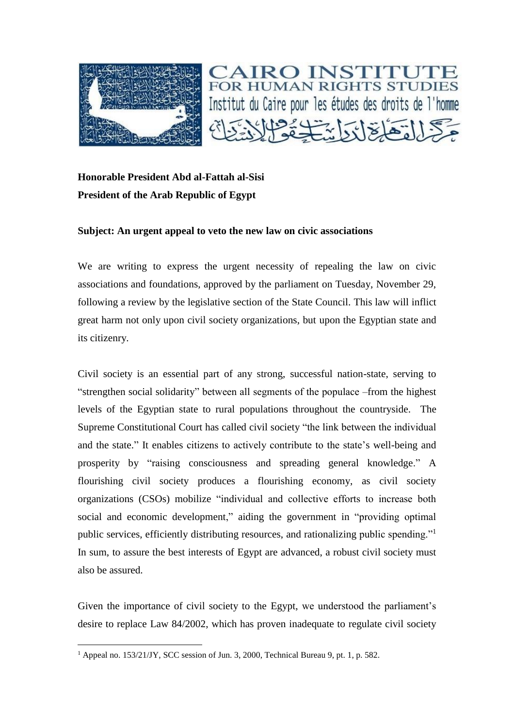



## **Honorable President Abd al-Fattah al-Sisi President of the Arab Republic of Egypt**

## **Subject: An urgent appeal to veto the new law on civic associations**

We are writing to express the urgent necessity of repealing the law on civic associations and foundations, approved by the parliament on Tuesday, November 29, following a review by the legislative section of the State Council. This law will inflict great harm not only upon civil society organizations, but upon the Egyptian state and its citizenry.

Civil society is an essential part of any strong, successful nation-state, serving to "strengthen social solidarity" between all segments of the populace –from the highest levels of the Egyptian state to rural populations throughout the countryside. The Supreme Constitutional Court has called civil society "the link between the individual and the state." It enables citizens to actively contribute to the state's well-being and prosperity by "raising consciousness and spreading general knowledge." A flourishing civil society produces a flourishing economy, as civil society organizations (CSOs) mobilize "individual and collective efforts to increase both social and economic development," aiding the government in "providing optimal public services, efficiently distributing resources, and rationalizing public spending."<sup>1</sup> In sum, to assure the best interests of Egypt are advanced, a robust civil society must also be assured.

Given the importance of civil society to the Egypt, we understood the parliament's desire to replace Law 84/2002, which has proven inadequate to regulate civil society

 $\overline{a}$ 

<sup>&</sup>lt;sup>1</sup> Appeal no. 153/21/JY, SCC session of Jun. 3, 2000, Technical Bureau 9, pt. 1, p. 582.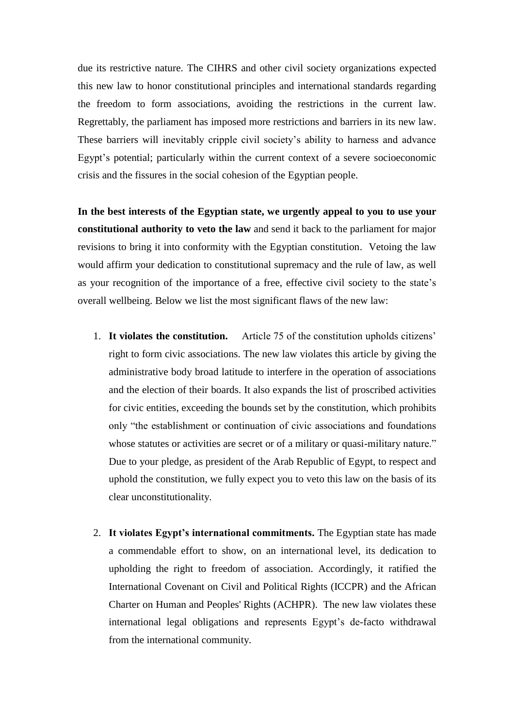due its restrictive nature. The CIHRS and other civil society organizations expected this new law to honor constitutional principles and international standards regarding the freedom to form associations, avoiding the restrictions in the current law. Regrettably, the parliament has imposed more restrictions and barriers in its new law. These barriers will inevitably cripple civil society's ability to harness and advance Egypt's potential; particularly within the current context of a severe socioeconomic crisis and the fissures in the social cohesion of the Egyptian people.

**In the best interests of the Egyptian state, we urgently appeal to you to use your constitutional authority to veto the law** and send it back to the parliament for major revisions to bring it into conformity with the Egyptian constitution. Vetoing the law would affirm your dedication to constitutional supremacy and the rule of law, as well as your recognition of the importance of a free, effective civil society to the state's overall wellbeing. Below we list the most significant flaws of the new law:

- 1. **It violates the constitution.** Article 75 of the constitution upholds citizens' right to form civic associations. The new law violates this article by giving the administrative body broad latitude to interfere in the operation of associations and the election of their boards. It also expands the list of proscribed activities for civic entities, exceeding the bounds set by the constitution, which prohibits only "the establishment or continuation of civic associations and foundations whose statutes or activities are secret or of a military or quasi-military nature." Due to your pledge, as president of the Arab Republic of Egypt, to respect and uphold the constitution, we fully expect you to veto this law on the basis of its clear unconstitutionality.
- 2. **It violates Egypt's international commitments.** The Egyptian state has made a commendable effort to show, on an international level, its dedication to upholding the right to freedom of association. Accordingly, it ratified the International Covenant on Civil and Political Rights (ICCPR) and the African Charter on Human and Peoples' Rights (ACHPR). The new law violates these international legal obligations and represents Egypt's de-facto withdrawal from the international community.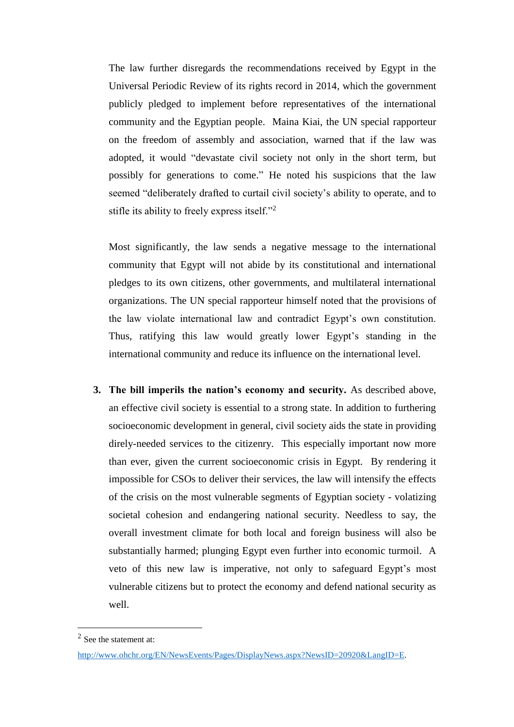The law further disregards the recommendations received by Egypt in the Universal Periodic Review of its rights record in 2014, which the government publicly pledged to implement before representatives of the international community and the Egyptian people. Maina Kiai, the UN special rapporteur on the freedom of assembly and association, warned that if the law was adopted, it would "devastate civil society not only in the short term, but possibly for generations to come." He noted his suspicions that the law seemed "deliberately drafted to curtail civil society's ability to operate, and to stifle its ability to freely express itself."<sup>2</sup>

Most significantly, the law sends a negative message to the international community that Egypt will not abide by its constitutional and international pledges to its own citizens, other governments, and multilateral international organizations. The UN special rapporteur himself noted that the provisions of the law violate international law and contradict Egypt's own constitution. Thus, ratifying this law would greatly lower Egypt's standing in the international community and reduce its influence on the international level.

**3. The bill imperils the nation's economy and security.** As described above, an effective civil society is essential to a strong state. In addition to furthering socioeconomic development in general, civil society aids the state in providing direly-needed services to the citizenry. This especially important now more than ever, given the current socioeconomic crisis in Egypt. By rendering it impossible for CSOs to deliver their services, the law will intensify the effects of the crisis on the most vulnerable segments of Egyptian society - volatizing societal cohesion and endangering national security. Needless to say, the overall investment climate for both local and foreign business will also be substantially harmed; plunging Egypt even further into economic turmoil. A veto of this new law is imperative, not only to safeguard Egypt's most vulnerable citizens but to protect the economy and defend national security as well.

 $\overline{a}$ 

 $2$  See the statement at:

[http://www.ohchr.org/EN/NewsEvents/Pages/DisplayNews.aspx?NewsID=20920&LangID=E.](http://www.ohchr.org/EN/NewsEvents/Pages/DisplayNews.aspx?NewsID=20920&LangID=E)